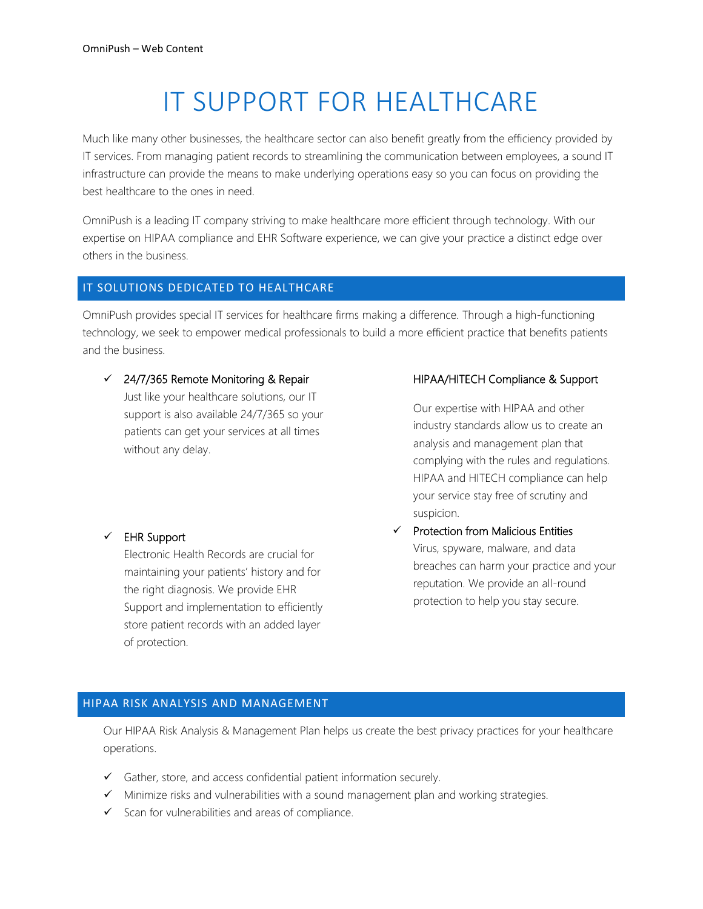# IT SUPPORT FOR HEALTHCARE

Much like many other businesses, the healthcare sector can also benefit greatly from the efficiency provided by IT services. From managing patient records to streamlining the communication between employees, a sound IT infrastructure can provide the means to make underlying operations easy so you can focus on providing the best healthcare to the ones in need.

OmniPush is a leading IT company striving to make healthcare more efficient through technology. With our expertise on HIPAA compliance and EHR Software experience, we can give your practice a distinct edge over others in the business.

### IT SOLUTIONS DEDICATED TO HEALTHCARE

OmniPush provides special IT services for healthcare firms making a difference. Through a high-functioning technology, we seek to empower medical professionals to build a more efficient practice that benefits patients and the business.

 $\checkmark$  24/7/365 Remote Monitoring & Repair

Just like your healthcare solutions, our IT support is also available 24/7/365 so your patients can get your services at all times without any delay.

## ✓ EHR Support

Electronic Health Records are crucial for maintaining your patients' history and for the right diagnosis. We provide EHR Support and implementation to efficiently store patient records with an added layer of protection.

### HIPAA/HITECH Compliance & Support

Our expertise with HIPAA and other industry standards allow us to create an analysis and management plan that complying with the rules and regulations. HIPAA and HITECH compliance can help your service stay free of scrutiny and suspicion.

✓ Protection from Malicious Entities Virus, spyware, malware, and data breaches can harm your practice and your reputation. We provide an all-round protection to help you stay secure.

#### HIPAA RISK ANALYSIS AND MANAGEMENT

Our HIPAA Risk Analysis & Management Plan helps us create the best privacy practices for your healthcare operations.

- ✓ Gather, store, and access confidential patient information securely.
- ✓ Minimize risks and vulnerabilities with a sound management plan and working strategies.
- $\checkmark$  Scan for vulnerabilities and areas of compliance.